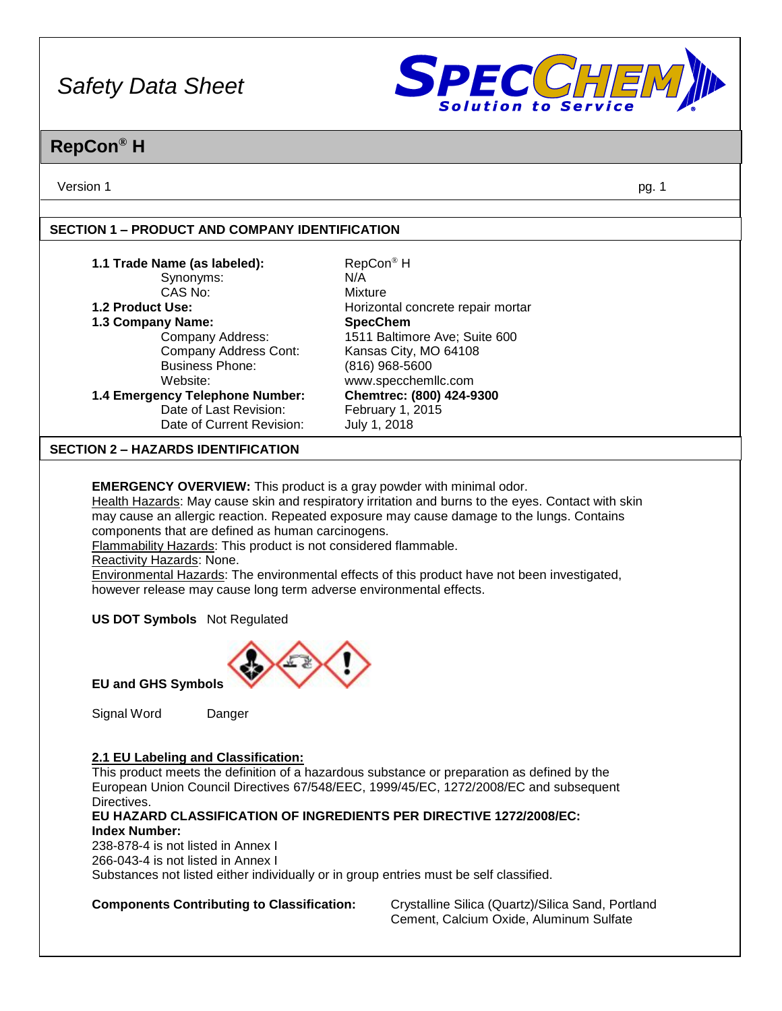

### **RepCon® H**

Version 1 pg. 1

#### **SECTION 1 – PRODUCT AND COMPANY IDENTIFICATION**

| 1.1 Trade Name (as labeled):<br>Synonyms:<br>CAS No:<br>1.2 Product Use:<br>1.3 Company Name:<br>Company Address:<br>Company Address Cont:<br><b>Business Phone:</b><br>Website:<br>1.4 Emergency Telephone Number:<br>Date of Last Revision: | RepCon <sup>®</sup> H<br>N/A<br>Mixture<br>Horizontal concrete repair mortar<br><b>SpecChem</b><br>1511 Baltimore Ave; Suite 600<br>Kansas City, MO 64108<br>$(816)$ 968-5600<br>www.specchemllc.com<br>Chemtrec: (800) 424-9300<br>February 1, 2015                                            |
|-----------------------------------------------------------------------------------------------------------------------------------------------------------------------------------------------------------------------------------------------|-------------------------------------------------------------------------------------------------------------------------------------------------------------------------------------------------------------------------------------------------------------------------------------------------|
| Date of Current Revision:<br><b>SECTION 2 – HAZARDS IDENTIFICATION</b>                                                                                                                                                                        | July 1, 2018                                                                                                                                                                                                                                                                                    |
| <b>EMERGENCY OVERVIEW:</b> This product is a gray powder with minimal odor.<br>components that are defined as human carcinogens.<br>Flammability Hazards: This product is not considered flammable.<br>Reactivity Hazards: None.              | Health Hazards: May cause skin and respiratory irritation and burns to the eyes. Contact with skin<br>may cause an allergic reaction. Repeated exposure may cause damage to the lungs. Contains<br>Environmental Hazards: The environmental effects of this product have not been investigated, |

however release may cause long term adverse environmental effects.

**US DOT Symbols** Not Regulated



**EU and GHS Symbols**

Signal Word Danger

#### **2.1 EU Labeling and Classification:**

This product meets the definition of a hazardous substance or preparation as defined by the European Union Council Directives 67/548/EEC, 1999/45/EC, 1272/2008/EC and subsequent Directives.

#### **EU HAZARD CLASSIFICATION OF INGREDIENTS PER DIRECTIVE 1272/2008/EC: Index Number:**

238-878-4 is not listed in Annex I 266-043-4 is not listed in Annex I Substances not listed either individually or in group entries must be self classified.

**Components Contributing to Classification:** Crystalline Silica (Quartz)/Silica Sand, Portland Cement, Calcium Oxide, Aluminum Sulfate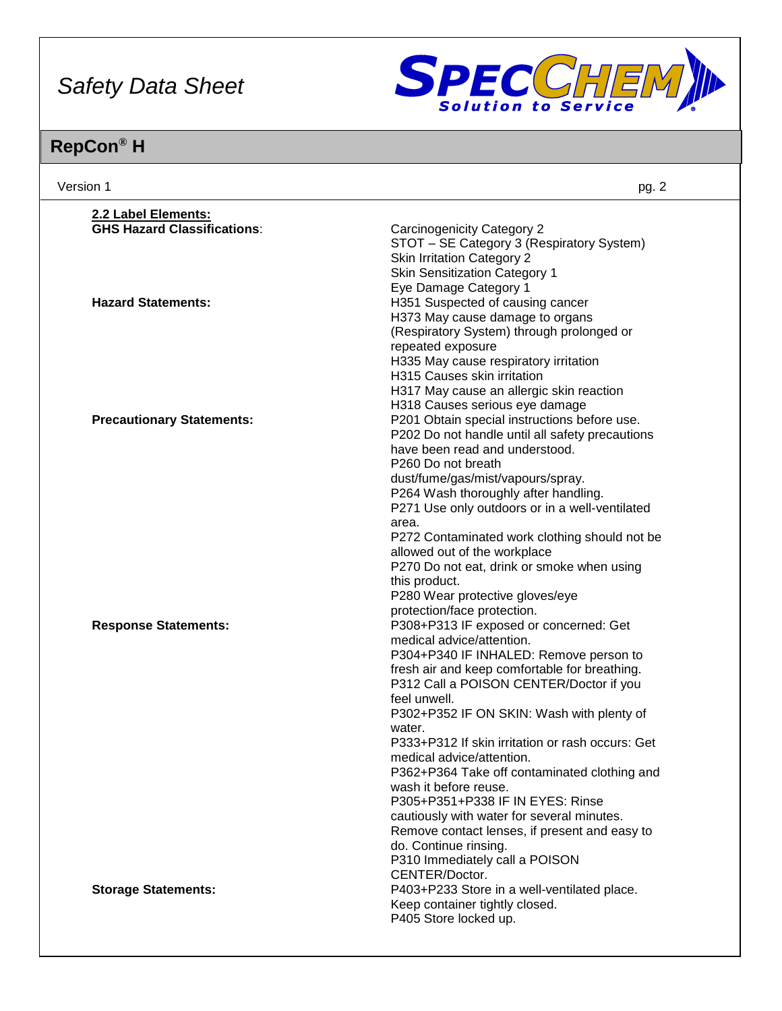

| Version 1                                                       | pg. 2                                                                                                                                                                                                                                                                                                                                                                                                                                                                                                                                                                                                                                                      |
|-----------------------------------------------------------------|------------------------------------------------------------------------------------------------------------------------------------------------------------------------------------------------------------------------------------------------------------------------------------------------------------------------------------------------------------------------------------------------------------------------------------------------------------------------------------------------------------------------------------------------------------------------------------------------------------------------------------------------------------|
| 2.2 Label Elements:                                             |                                                                                                                                                                                                                                                                                                                                                                                                                                                                                                                                                                                                                                                            |
| <b>GHS Hazard Classifications:</b><br><b>Hazard Statements:</b> | <b>Carcinogenicity Category 2</b><br>STOT - SE Category 3 (Respiratory System)<br><b>Skin Irritation Category 2</b><br><b>Skin Sensitization Category 1</b><br>Eye Damage Category 1<br>H351 Suspected of causing cancer<br>H373 May cause damage to organs                                                                                                                                                                                                                                                                                                                                                                                                |
|                                                                 | (Respiratory System) through prolonged or<br>repeated exposure<br>H335 May cause respiratory irritation<br>H315 Causes skin irritation<br>H317 May cause an allergic skin reaction<br>H318 Causes serious eye damage                                                                                                                                                                                                                                                                                                                                                                                                                                       |
| <b>Precautionary Statements:</b>                                | P201 Obtain special instructions before use.<br>P202 Do not handle until all safety precautions<br>have been read and understood.<br>P260 Do not breath<br>dust/fume/gas/mist/vapours/spray.<br>P264 Wash thoroughly after handling.<br>P271 Use only outdoors or in a well-ventilated<br>area.<br>P272 Contaminated work clothing should not be<br>allowed out of the workplace<br>P270 Do not eat, drink or smoke when using<br>this product.<br>P280 Wear protective gloves/eye<br>protection/face protection.                                                                                                                                          |
| <b>Response Statements:</b>                                     | P308+P313 IF exposed or concerned: Get<br>medical advice/attention.<br>P304+P340 IF INHALED: Remove person to<br>fresh air and keep comfortable for breathing.<br>P312 Call a POISON CENTER/Doctor if you<br>feel unwell.<br>P302+P352 IF ON SKIN: Wash with plenty of<br>water.<br>P333+P312 If skin irritation or rash occurs: Get<br>medical advice/attention.<br>P362+P364 Take off contaminated clothing and<br>wash it before reuse.<br>P305+P351+P338 IF IN EYES: Rinse<br>cautiously with water for several minutes.<br>Remove contact lenses, if present and easy to<br>do. Continue rinsing.<br>P310 Immediately call a POISON<br>CENTER/Doctor. |
| <b>Storage Statements:</b>                                      | P403+P233 Store in a well-ventilated place.<br>Keep container tightly closed.<br>P405 Store locked up.                                                                                                                                                                                                                                                                                                                                                                                                                                                                                                                                                     |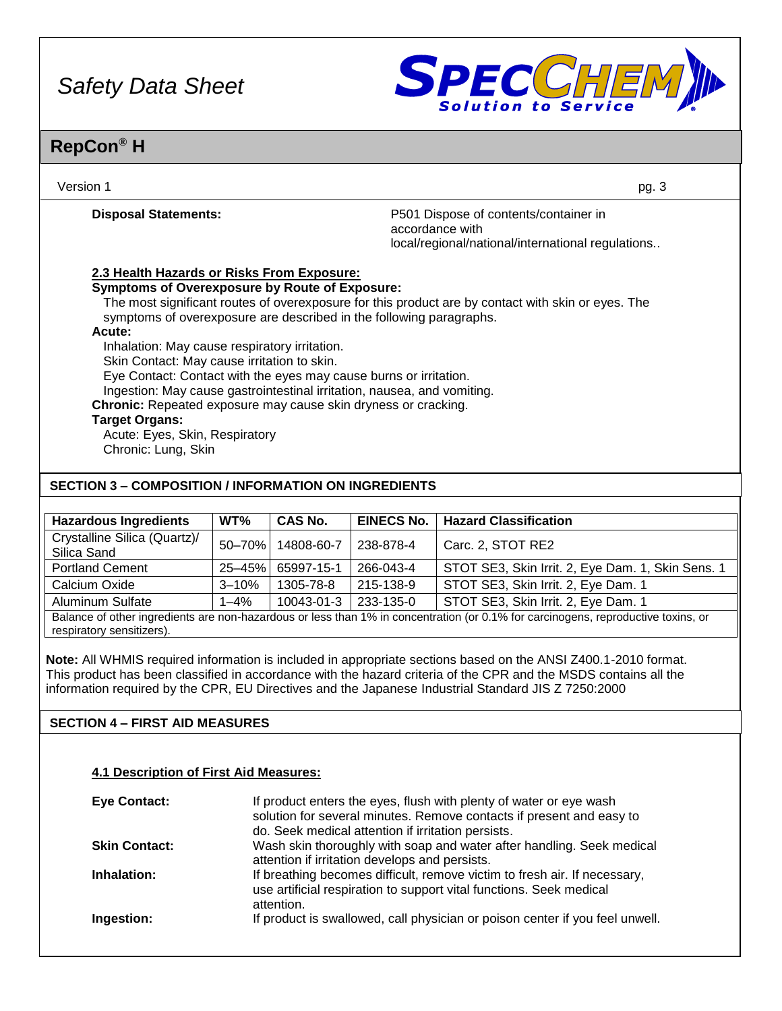

### **RepCon® H**

| Version 1                                                                                                                                                                 | pg. 3                                                                                                         |
|---------------------------------------------------------------------------------------------------------------------------------------------------------------------------|---------------------------------------------------------------------------------------------------------------|
| <b>Disposal Statements:</b>                                                                                                                                               | P501 Dispose of contents/container in<br>accordance with<br>local/regional/national/international regulations |
| 2.3 Health Hazards or Risks From Exposure:                                                                                                                                |                                                                                                               |
| <b>Symptoms of Overexposure by Route of Exposure:</b>                                                                                                                     |                                                                                                               |
| The most significant routes of overexposure for this product are by contact with skin or eyes. The<br>symptoms of overexposure are described in the following paragraphs. |                                                                                                               |
| Acute:<br>Inhalation: May cause respiratory irritation.                                                                                                                   |                                                                                                               |
| Skin Contact: May cause irritation to skin.                                                                                                                               |                                                                                                               |
| Eye Contact: Contact with the eyes may cause burns or irritation.                                                                                                         |                                                                                                               |
| Ingestion: May cause gastrointestinal irritation, nausea, and vomiting.                                                                                                   |                                                                                                               |
| Chronic: Repeated exposure may cause skin dryness or cracking.                                                                                                            |                                                                                                               |
| <b>Target Organs:</b>                                                                                                                                                     |                                                                                                               |
| Acute: Eyes, Skin, Respiratory                                                                                                                                            |                                                                                                               |
| Chronic: Lung, Skin                                                                                                                                                       |                                                                                                               |
| <b>SECTION 3 – COMPOSITION / INFORMATION ON INGREDIENTS</b>                                                                                                               |                                                                                                               |

| <b>Hazardous Ingredients</b>                                                                                                      | WT%         | <b>CAS No.</b> | <b>EINECS No.</b> | <b>Hazard Classification</b>                      |
|-----------------------------------------------------------------------------------------------------------------------------------|-------------|----------------|-------------------|---------------------------------------------------|
| Crystalline Silica (Quartz)/<br>Silica Sand                                                                                       | 50-70%      | 14808-60-7     | 238-878-4         | Carc. 2, STOT RE2                                 |
| <b>Portland Cement</b>                                                                                                            | $25 - 45\%$ | 65997-15-1     | 266-043-4         | STOT SE3, Skin Irrit. 2, Eye Dam. 1, Skin Sens. 1 |
| Calcium Oxide                                                                                                                     | $3 - 10%$   | 1305-78-8      | 215-138-9         | STOT SE3, Skin Irrit. 2, Eye Dam. 1               |
| <b>Aluminum Sulfate</b>                                                                                                           | $1 - 4%$    | 10043-01-3     | 233-135-0         | STOT SE3, Skin Irrit. 2, Eye Dam. 1               |
| Balance of other ingredients are non-hazardous or less than 1% in concentration (or 0.1% for carcinogens, reproductive toxins, or |             |                |                   |                                                   |

respiratory sensitizers).

**Note:** All WHMIS required information is included in appropriate sections based on the ANSI Z400.1-2010 format. This product has been classified in accordance with the hazard criteria of the CPR and the MSDS contains all the information required by the CPR, EU Directives and the Japanese Industrial Standard JIS Z 7250:2000

#### **SECTION 4 – FIRST AID MEASURES**

#### **4.1 Description of First Aid Measures:**

| <b>Eye Contact:</b>  | If product enters the eyes, flush with plenty of water or eye wash<br>solution for several minutes. Remove contacts if present and easy to<br>do. Seek medical attention if irritation persists. |
|----------------------|--------------------------------------------------------------------------------------------------------------------------------------------------------------------------------------------------|
| <b>Skin Contact:</b> | Wash skin thoroughly with soap and water after handling. Seek medical<br>attention if irritation develops and persists.                                                                          |
| Inhalation:          | If breathing becomes difficult, remove victim to fresh air. If necessary,<br>use artificial respiration to support vital functions. Seek medical<br>attention.                                   |
| Ingestion:           | If product is swallowed, call physician or poison center if you feel unwell.                                                                                                                     |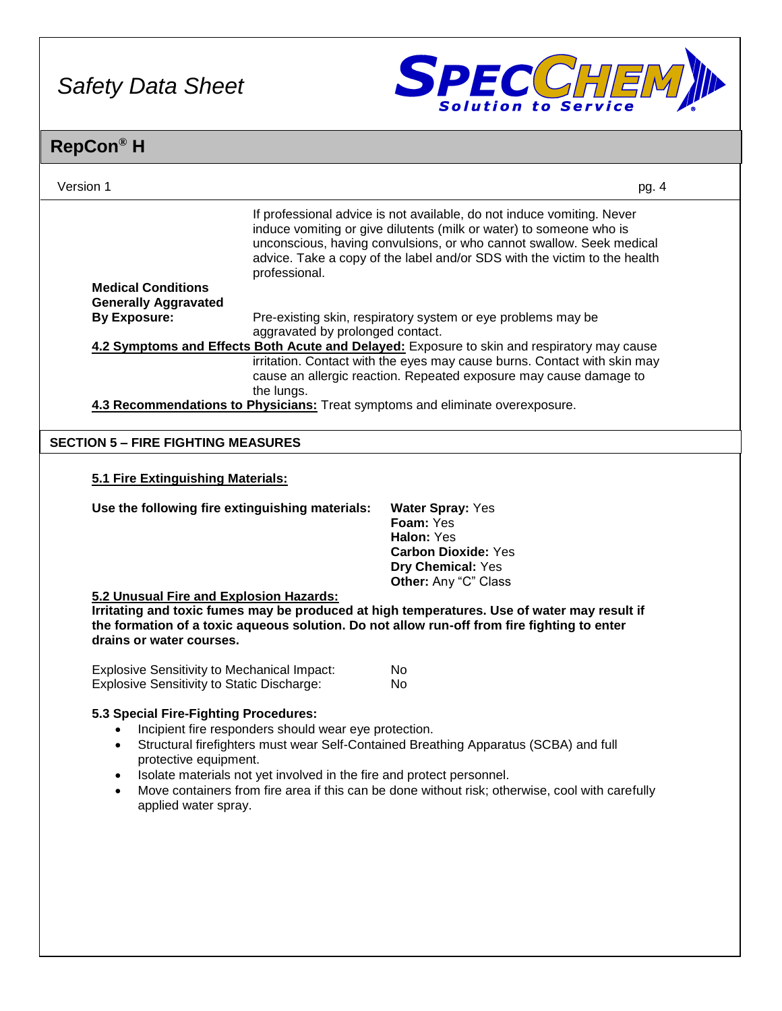

|                                                                                                         |                                                                                                                                                                        | pg. 4                                                                                                                                                                                                                                                                                                                                                                                                                                                                                                                                                                                                                                                                                                                                                                                                                                                                                                                                                                                    |
|---------------------------------------------------------------------------------------------------------|------------------------------------------------------------------------------------------------------------------------------------------------------------------------|------------------------------------------------------------------------------------------------------------------------------------------------------------------------------------------------------------------------------------------------------------------------------------------------------------------------------------------------------------------------------------------------------------------------------------------------------------------------------------------------------------------------------------------------------------------------------------------------------------------------------------------------------------------------------------------------------------------------------------------------------------------------------------------------------------------------------------------------------------------------------------------------------------------------------------------------------------------------------------------|
|                                                                                                         |                                                                                                                                                                        |                                                                                                                                                                                                                                                                                                                                                                                                                                                                                                                                                                                                                                                                                                                                                                                                                                                                                                                                                                                          |
|                                                                                                         |                                                                                                                                                                        |                                                                                                                                                                                                                                                                                                                                                                                                                                                                                                                                                                                                                                                                                                                                                                                                                                                                                                                                                                                          |
|                                                                                                         |                                                                                                                                                                        |                                                                                                                                                                                                                                                                                                                                                                                                                                                                                                                                                                                                                                                                                                                                                                                                                                                                                                                                                                                          |
| the lungs.                                                                                              |                                                                                                                                                                        |                                                                                                                                                                                                                                                                                                                                                                                                                                                                                                                                                                                                                                                                                                                                                                                                                                                                                                                                                                                          |
|                                                                                                         |                                                                                                                                                                        |                                                                                                                                                                                                                                                                                                                                                                                                                                                                                                                                                                                                                                                                                                                                                                                                                                                                                                                                                                                          |
|                                                                                                         |                                                                                                                                                                        |                                                                                                                                                                                                                                                                                                                                                                                                                                                                                                                                                                                                                                                                                                                                                                                                                                                                                                                                                                                          |
|                                                                                                         | <b>Water Spray: Yes</b><br>Foam: Yes<br>Halon: Yes<br><b>Carbon Dioxide: Yes</b><br>Dry Chemical: Yes<br>Other: Any "C" Class                                          |                                                                                                                                                                                                                                                                                                                                                                                                                                                                                                                                                                                                                                                                                                                                                                                                                                                                                                                                                                                          |
|                                                                                                         |                                                                                                                                                                        |                                                                                                                                                                                                                                                                                                                                                                                                                                                                                                                                                                                                                                                                                                                                                                                                                                                                                                                                                                                          |
| <b>Explosive Sensitivity to Mechanical Impact:</b><br><b>Explosive Sensitivity to Static Discharge:</b> | No<br>No                                                                                                                                                               |                                                                                                                                                                                                                                                                                                                                                                                                                                                                                                                                                                                                                                                                                                                                                                                                                                                                                                                                                                                          |
|                                                                                                         | professional.<br><b>SECTION 5 - FIRE FIGHTING MEASURES</b><br>5.1 Fire Extinguishing Materials:<br>5.2 Unusual Fire and Explosion Hazards:<br>drains or water courses. | If professional advice is not available, do not induce vomiting. Never<br>induce vomiting or give dilutents (milk or water) to someone who is<br>unconscious, having convulsions, or who cannot swallow. Seek medical<br>advice. Take a copy of the label and/or SDS with the victim to the health<br>Pre-existing skin, respiratory system or eye problems may be<br>aggravated by prolonged contact.<br>4.2 Symptoms and Effects Both Acute and Delayed: Exposure to skin and respiratory may cause<br>irritation. Contact with the eyes may cause burns. Contact with skin may<br>cause an allergic reaction. Repeated exposure may cause damage to<br>4.3 Recommendations to Physicians: Treat symptoms and eliminate overexposure.<br>Use the following fire extinguishing materials:<br>Irritating and toxic fumes may be produced at high temperatures. Use of water may result if<br>the formation of a toxic aqueous solution. Do not allow run-off from fire fighting to enter |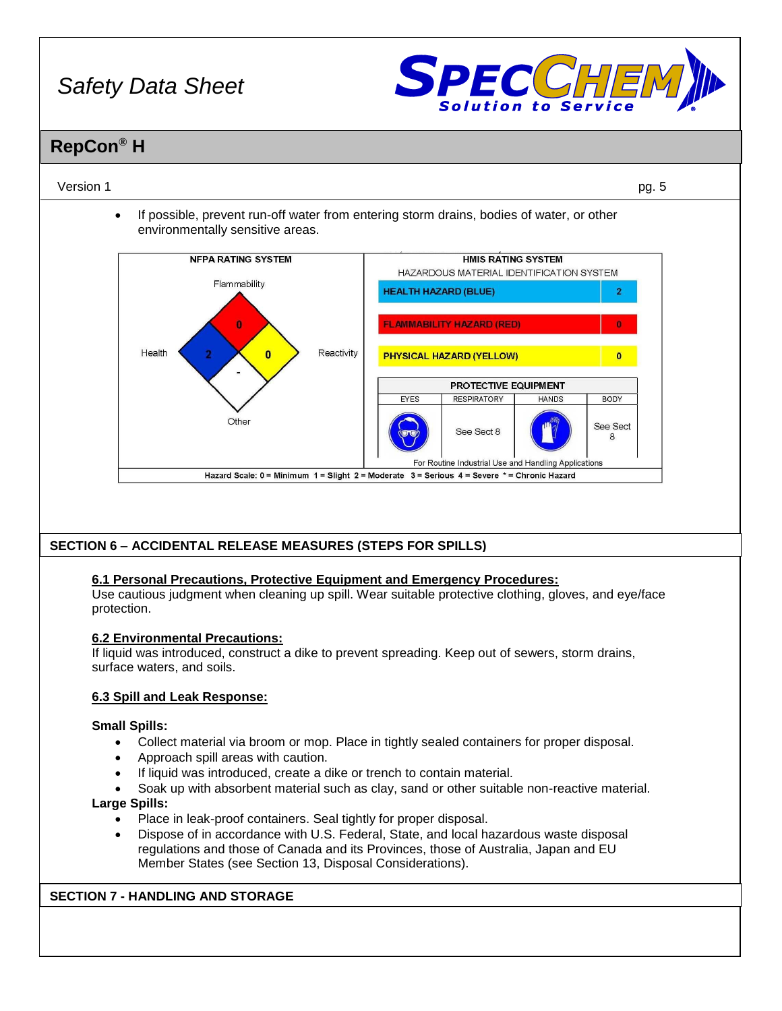

### **RepCon® H**

#### Version 1 pg. 5

• If possible, prevent run-off water from entering storm drains, bodies of water, or other environmentally sensitive areas.



#### **SECTION 6 – ACCIDENTAL RELEASE MEASURES (STEPS FOR SPILLS)**

#### **6.1 Personal Precautions, Protective Equipment and Emergency Procedures:**

Use cautious judgment when cleaning up spill. Wear suitable protective clothing, gloves, and eye/face protection.

#### **6.2 Environmental Precautions:**

If liquid was introduced, construct a dike to prevent spreading. Keep out of sewers, storm drains, surface waters, and soils.

#### **6.3 Spill and Leak Response:**

#### **Small Spills:**

- Collect material via broom or mop. Place in tightly sealed containers for proper disposal.
- Approach spill areas with caution.
- If liquid was introduced, create a dike or trench to contain material.
- Soak up with absorbent material such as clay, sand or other suitable non-reactive material.

#### **Large Spills:**

- Place in leak-proof containers. Seal tightly for proper disposal.
- Dispose of in accordance with U.S. Federal, State, and local hazardous waste disposal regulations and those of Canada and its Provinces, those of Australia, Japan and EU Member States (see Section 13, Disposal Considerations).

#### **SECTION 7 - HANDLING AND STORAGE**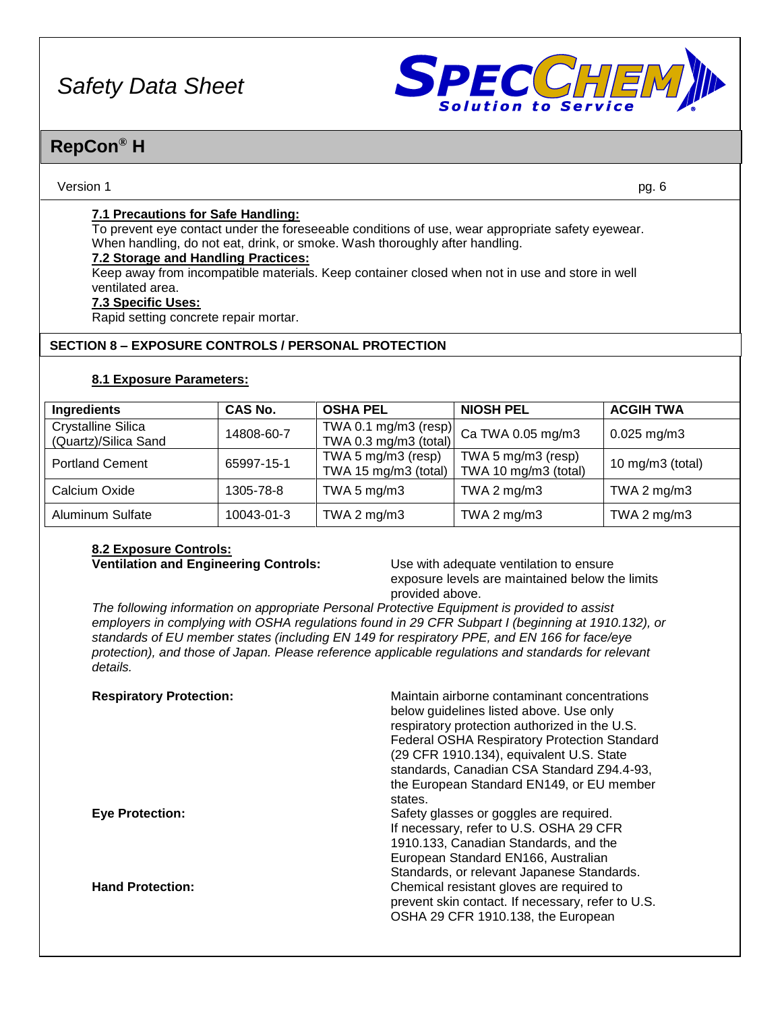

### **RepCon® H**

#### Version 1 pg. 6

#### **7.1 Precautions for Safe Handling:**

To prevent eye contact under the foreseeable conditions of use, wear appropriate safety eyewear. When handling, do not eat, drink, or smoke. Wash thoroughly after handling.

#### **7.2 Storage and Handling Practices:**

Keep away from incompatible materials. Keep container closed when not in use and store in well ventilated area.

#### **7.3 Specific Uses:**

Rapid setting concrete repair mortar.

#### **SECTION 8 – EXPOSURE CONTROLS / PERSONAL PROTECTION**

#### **8.1 Exposure Parameters:**

| Ingredients                                       | <b>CAS No.</b> | <b>OSHA PEL</b>                            | <b>NIOSH PEL</b>                                                                                     | <b>ACGIH TWA</b>    |
|---------------------------------------------------|----------------|--------------------------------------------|------------------------------------------------------------------------------------------------------|---------------------|
| <b>Crystalline Silica</b><br>(Quartz)/Silica Sand | 14808-60-7     | TWA 0.3 mg/m3 (total)                      | $\left  \frac{1}{2} \frac{\text{TWA 0.1 mg/m3}}{\text{G}} \right  \text{ (resp.)}$ Ca TWA 0.05 mg/m3 | $0.025$ mg/m3       |
| <b>Portland Cement</b>                            | 65997-15-1     | TWA 5 mg/m3 (resp)<br>TWA 15 mg/m3 (total) | TWA 5 mg/m3 (resp)<br>TWA 10 mg/m3 (total)                                                           | 10 mg/m $3$ (total) |
| Calcium Oxide                                     | 1305-78-8      | TWA 5 $mg/m3$                              | TWA 2 $mg/m3$                                                                                        | TWA 2 $mg/m3$       |
| <b>Aluminum Sulfate</b>                           | 10043-01-3     | TWA 2 $mg/m3$                              | TWA 2 mg/m3                                                                                          | TWA 2 $mg/m3$       |

# **8.2 Exposure Controls:**

**Ventilation and Engineering Controls:** Use with adequate ventilation to ensure exposure levels are maintained below the limits provided above.

*The following information on appropriate Personal Protective Equipment is provided to assist employers in complying with OSHA regulations found in 29 CFR Subpart I (beginning at 1910.132), or standards of EU member states (including EN 149 for respiratory PPE, and EN 166 for face/eye protection), and those of Japan. Please reference applicable regulations and standards for relevant details.*

| <b>Respiratory Protection:</b> | Maintain airborne contaminant concentrations<br>below guidelines listed above. Use only<br>respiratory protection authorized in the U.S.<br><b>Federal OSHA Respiratory Protection Standard</b><br>(29 CFR 1910.134), equivalent U.S. State<br>standards, Canadian CSA Standard Z94.4-93,<br>the European Standard EN149, or EU member<br>states. |
|--------------------------------|---------------------------------------------------------------------------------------------------------------------------------------------------------------------------------------------------------------------------------------------------------------------------------------------------------------------------------------------------|
| <b>Eye Protection:</b>         | Safety glasses or goggles are required.<br>If necessary, refer to U.S. OSHA 29 CFR<br>1910.133, Canadian Standards, and the<br>European Standard EN166, Australian<br>Standards, or relevant Japanese Standards.                                                                                                                                  |
| <b>Hand Protection:</b>        | Chemical resistant gloves are required to<br>prevent skin contact. If necessary, refer to U.S.<br>OSHA 29 CFR 1910.138, the European                                                                                                                                                                                                              |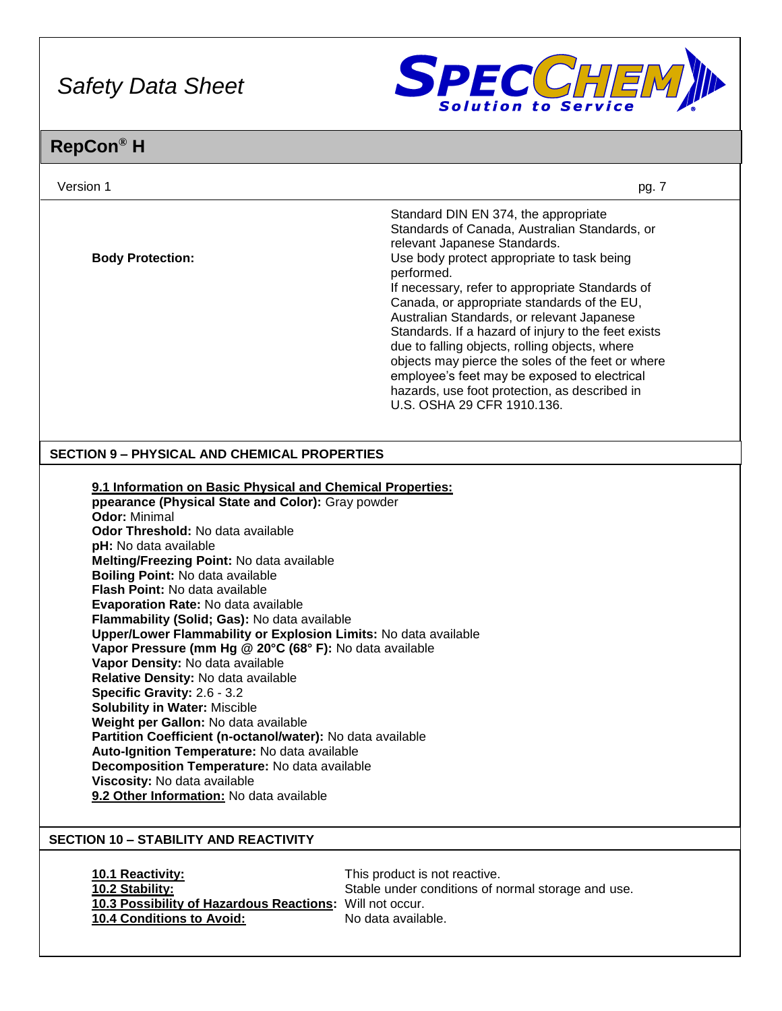

| Version 1                                                                                                                                                                                                                                                                                                                                                                                                                                                                                                                                                                                                                                                                                                                                                                                                                                                                                                                                                                                       | pg. 7                                                                                                                                                                                                                                                                                                                                                                                                                                                                                                                                                                                                                          |
|-------------------------------------------------------------------------------------------------------------------------------------------------------------------------------------------------------------------------------------------------------------------------------------------------------------------------------------------------------------------------------------------------------------------------------------------------------------------------------------------------------------------------------------------------------------------------------------------------------------------------------------------------------------------------------------------------------------------------------------------------------------------------------------------------------------------------------------------------------------------------------------------------------------------------------------------------------------------------------------------------|--------------------------------------------------------------------------------------------------------------------------------------------------------------------------------------------------------------------------------------------------------------------------------------------------------------------------------------------------------------------------------------------------------------------------------------------------------------------------------------------------------------------------------------------------------------------------------------------------------------------------------|
| <b>Body Protection:</b>                                                                                                                                                                                                                                                                                                                                                                                                                                                                                                                                                                                                                                                                                                                                                                                                                                                                                                                                                                         | Standard DIN EN 374, the appropriate<br>Standards of Canada, Australian Standards, or<br>relevant Japanese Standards.<br>Use body protect appropriate to task being<br>performed.<br>If necessary, refer to appropriate Standards of<br>Canada, or appropriate standards of the EU,<br>Australian Standards, or relevant Japanese<br>Standards. If a hazard of injury to the feet exists<br>due to falling objects, rolling objects, where<br>objects may pierce the soles of the feet or where<br>employee's feet may be exposed to electrical<br>hazards, use foot protection, as described in<br>U.S. OSHA 29 CFR 1910.136. |
| <b>SECTION 9 - PHYSICAL AND CHEMICAL PROPERTIES</b>                                                                                                                                                                                                                                                                                                                                                                                                                                                                                                                                                                                                                                                                                                                                                                                                                                                                                                                                             |                                                                                                                                                                                                                                                                                                                                                                                                                                                                                                                                                                                                                                |
| 9.1 Information on Basic Physical and Chemical Properties:<br>ppearance (Physical State and Color): Gray powder<br><b>Odor: Minimal</b><br>Odor Threshold: No data available<br>pH: No data available<br>Melting/Freezing Point: No data available<br><b>Boiling Point: No data available</b><br><b>Flash Point: No data available</b><br>Evaporation Rate: No data available<br>Flammability (Solid; Gas): No data available<br>Upper/Lower Flammability or Explosion Limits: No data available<br>Vapor Pressure (mm Hg @ 20°C (68° F): No data available<br>Vapor Density: No data available<br>Relative Density: No data available<br>Specific Gravity: 2.6 - 3.2<br><b>Solubility in Water: Miscible</b><br>Weight per Gallon: No data available<br>Partition Coefficient (n-octanol/water): No data available<br>Auto-Ignition Temperature: No data available<br>Decomposition Temperature: No data available<br>Viscosity: No data available<br>9.2 Other Information: No data available |                                                                                                                                                                                                                                                                                                                                                                                                                                                                                                                                                                                                                                |
| <b>SECTION 10 - STABILITY AND REACTIVITY</b>                                                                                                                                                                                                                                                                                                                                                                                                                                                                                                                                                                                                                                                                                                                                                                                                                                                                                                                                                    |                                                                                                                                                                                                                                                                                                                                                                                                                                                                                                                                                                                                                                |
| 10.1 Reactivity:<br>10.2 Stability:<br>10.3 Possibility of Hazardous Reactions: Will not occur.<br>10.4 Conditions to Avoid:                                                                                                                                                                                                                                                                                                                                                                                                                                                                                                                                                                                                                                                                                                                                                                                                                                                                    | This product is not reactive.<br>Stable under conditions of normal storage and use.<br>No data available.                                                                                                                                                                                                                                                                                                                                                                                                                                                                                                                      |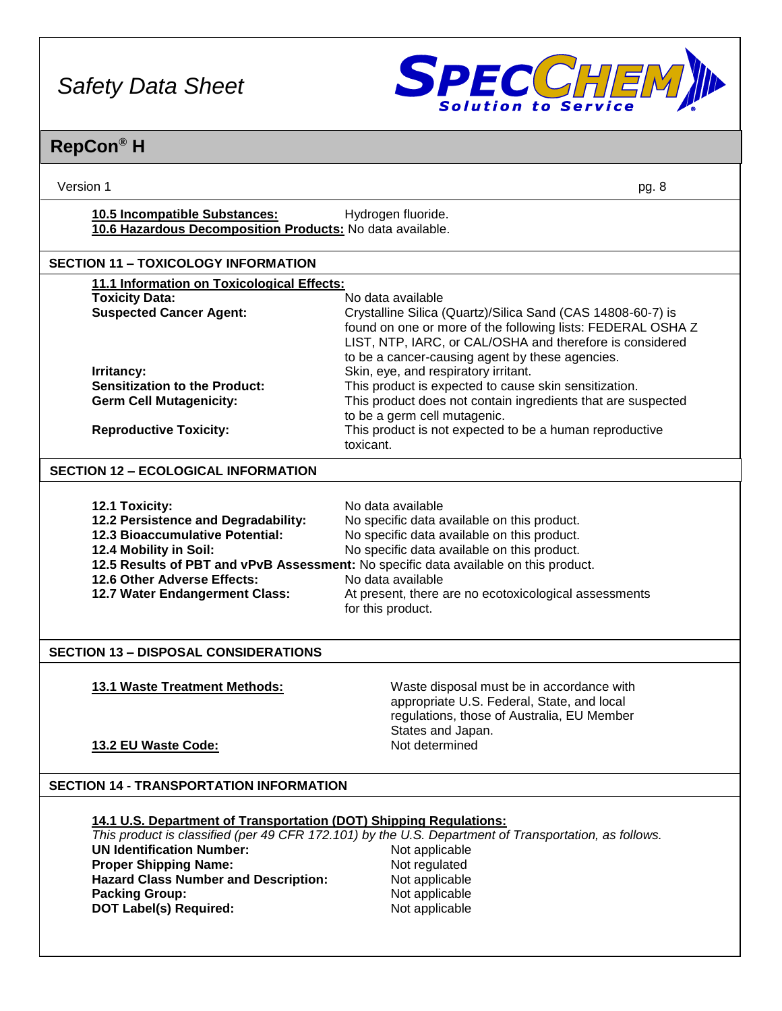

| Version 1                                                                                                                                                                                                                                       | pg. 8                                                                                                                                                                                                                                                                                                                                                     |  |  |  |
|-------------------------------------------------------------------------------------------------------------------------------------------------------------------------------------------------------------------------------------------------|-----------------------------------------------------------------------------------------------------------------------------------------------------------------------------------------------------------------------------------------------------------------------------------------------------------------------------------------------------------|--|--|--|
| 10.5 Incompatible Substances:<br>Hydrogen fluoride.<br>10.6 Hazardous Decomposition Products: No data available.                                                                                                                                |                                                                                                                                                                                                                                                                                                                                                           |  |  |  |
| <b>SECTION 11 - TOXICOLOGY INFORMATION</b>                                                                                                                                                                                                      |                                                                                                                                                                                                                                                                                                                                                           |  |  |  |
| 11.1 Information on Toxicological Effects:                                                                                                                                                                                                      |                                                                                                                                                                                                                                                                                                                                                           |  |  |  |
| <b>Toxicity Data:</b><br><b>Suspected Cancer Agent:</b>                                                                                                                                                                                         | No data available<br>Crystalline Silica (Quartz)/Silica Sand (CAS 14808-60-7) is<br>found on one or more of the following lists: FEDERAL OSHA Z<br>LIST, NTP, IARC, or CAL/OSHA and therefore is considered<br>to be a cancer-causing agent by these agencies.                                                                                            |  |  |  |
| Irritancy:<br><b>Sensitization to the Product:</b>                                                                                                                                                                                              | Skin, eye, and respiratory irritant.                                                                                                                                                                                                                                                                                                                      |  |  |  |
| <b>Germ Cell Mutagenicity:</b>                                                                                                                                                                                                                  | This product is expected to cause skin sensitization.<br>This product does not contain ingredients that are suspected                                                                                                                                                                                                                                     |  |  |  |
|                                                                                                                                                                                                                                                 | to be a germ cell mutagenic.                                                                                                                                                                                                                                                                                                                              |  |  |  |
| <b>Reproductive Toxicity:</b>                                                                                                                                                                                                                   | This product is not expected to be a human reproductive<br>toxicant.                                                                                                                                                                                                                                                                                      |  |  |  |
| <b>SECTION 12 - ECOLOGICAL INFORMATION</b>                                                                                                                                                                                                      |                                                                                                                                                                                                                                                                                                                                                           |  |  |  |
| 12.1 Toxicity:<br>12.2 Persistence and Degradability:<br>12.3 Bioaccumulative Potential:<br>12.4 Mobility in Soil:<br>12.6 Other Adverse Effects:<br>12.7 Water Endangerment Class:                                                             | No data available<br>No specific data available on this product.<br>No specific data available on this product.<br>No specific data available on this product.<br>12.5 Results of PBT and vPvB Assessment: No specific data available on this product.<br>No data available<br>At present, there are no ecotoxicological assessments<br>for this product. |  |  |  |
| <b>SECTION 13 - DISPOSAL CONSIDERATIONS</b>                                                                                                                                                                                                     |                                                                                                                                                                                                                                                                                                                                                           |  |  |  |
| 13.1 Waste Treatment Methods:<br>13.2 EU Waste Code:                                                                                                                                                                                            | Waste disposal must be in accordance with<br>appropriate U.S. Federal, State, and local<br>regulations, those of Australia, EU Member<br>States and Japan.<br>Not determined                                                                                                                                                                              |  |  |  |
| <b>SECTION 14 - TRANSPORTATION INFORMATION</b>                                                                                                                                                                                                  |                                                                                                                                                                                                                                                                                                                                                           |  |  |  |
| 14.1 U.S. Department of Transportation (DOT) Shipping Regulations:<br><b>UN Identification Number:</b><br><b>Proper Shipping Name:</b><br><b>Hazard Class Number and Description:</b><br><b>Packing Group:</b><br><b>DOT Label(s) Required:</b> | This product is classified (per 49 CFR 172.101) by the U.S. Department of Transportation, as follows.<br>Not applicable<br>Not regulated<br>Not applicable<br>Not applicable<br>Not applicable                                                                                                                                                            |  |  |  |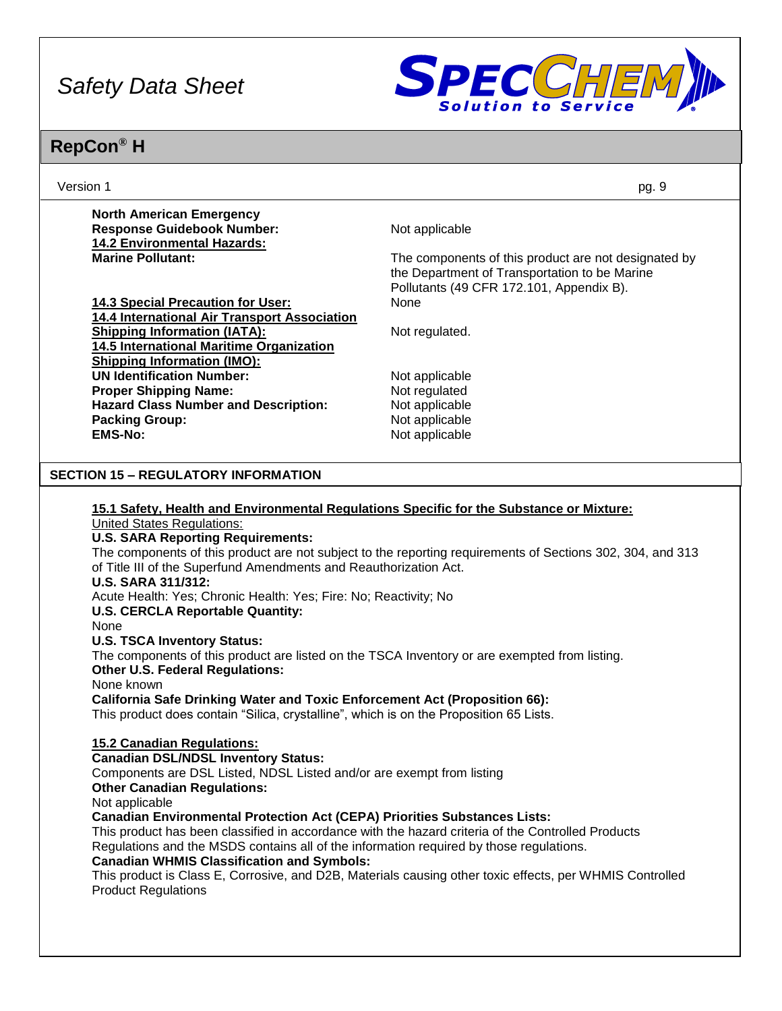

| Version 1                                                                                                                                                                                                                                                                                           | pg. 9                                                                                                                                             |  |  |  |
|-----------------------------------------------------------------------------------------------------------------------------------------------------------------------------------------------------------------------------------------------------------------------------------------------------|---------------------------------------------------------------------------------------------------------------------------------------------------|--|--|--|
| <b>North American Emergency</b><br><b>Response Guidebook Number:</b><br><b>14.2 Environmental Hazards:</b>                                                                                                                                                                                          | Not applicable                                                                                                                                    |  |  |  |
| <b>Marine Pollutant:</b>                                                                                                                                                                                                                                                                            | The components of this product are not designated by<br>the Department of Transportation to be Marine<br>Pollutants (49 CFR 172.101, Appendix B). |  |  |  |
| 14.3 Special Precaution for User:<br>14.4 International Air Transport Association                                                                                                                                                                                                                   | None                                                                                                                                              |  |  |  |
| <b>Shipping Information (IATA):</b><br>14.5 International Maritime Organization                                                                                                                                                                                                                     | Not regulated.                                                                                                                                    |  |  |  |
| <b>Shipping Information (IMO):</b><br><b>UN Identification Number:</b>                                                                                                                                                                                                                              | Not applicable                                                                                                                                    |  |  |  |
| <b>Proper Shipping Name:</b><br><b>Hazard Class Number and Description:</b>                                                                                                                                                                                                                         | Not regulated<br>Not applicable                                                                                                                   |  |  |  |
| <b>Packing Group:</b><br><b>EMS-No:</b>                                                                                                                                                                                                                                                             | Not applicable<br>Not applicable                                                                                                                  |  |  |  |
|                                                                                                                                                                                                                                                                                                     |                                                                                                                                                   |  |  |  |
| <b>SECTION 15 - REGULATORY INFORMATION</b>                                                                                                                                                                                                                                                          |                                                                                                                                                   |  |  |  |
| 15.1 Safety, Health and Environmental Regulations Specific for the Substance or Mixture:<br><b>United States Regulations:</b>                                                                                                                                                                       |                                                                                                                                                   |  |  |  |
| <b>U.S. SARA Reporting Requirements:</b><br>The components of this product are not subject to the reporting requirements of Sections 302, 304, and 313<br>of Title III of the Superfund Amendments and Reauthorization Act.                                                                         |                                                                                                                                                   |  |  |  |
| <b>U.S. SARA 311/312:</b><br>Acute Health: Yes; Chronic Health: Yes; Fire: No; Reactivity; No                                                                                                                                                                                                       |                                                                                                                                                   |  |  |  |
| <b>U.S. CERCLA Reportable Quantity:</b><br>None                                                                                                                                                                                                                                                     |                                                                                                                                                   |  |  |  |
| <b>U.S. TSCA Inventory Status:</b><br>The components of this product are listed on the TSCA Inventory or are exempted from listing.<br><b>Other U.S. Federal Regulations:</b>                                                                                                                       |                                                                                                                                                   |  |  |  |
| None known<br><b>California Safe Drinking Water and Toxic Enforcement Act (Proposition 66):</b><br>This product does contain "Silica, crystalline", which is on the Proposition 65 Lists.                                                                                                           |                                                                                                                                                   |  |  |  |
| 15.2 Canadian Regulations:<br><b>Canadian DSL/NDSL Inventory Status:</b>                                                                                                                                                                                                                            |                                                                                                                                                   |  |  |  |
| Components are DSL Listed, NDSL Listed and/or are exempt from listing<br><b>Other Canadian Regulations:</b>                                                                                                                                                                                         |                                                                                                                                                   |  |  |  |
| Not applicable<br><b>Canadian Environmental Protection Act (CEPA) Priorities Substances Lists:</b><br>This product has been classified in accordance with the hazard criteria of the Controlled Products<br>Regulations and the MSDS contains all of the information required by those regulations. |                                                                                                                                                   |  |  |  |
| <b>Canadian WHMIS Classification and Symbols:</b><br><b>Product Regulations</b>                                                                                                                                                                                                                     | This product is Class E, Corrosive, and D2B, Materials causing other toxic effects, per WHMIS Controlled                                          |  |  |  |
|                                                                                                                                                                                                                                                                                                     |                                                                                                                                                   |  |  |  |